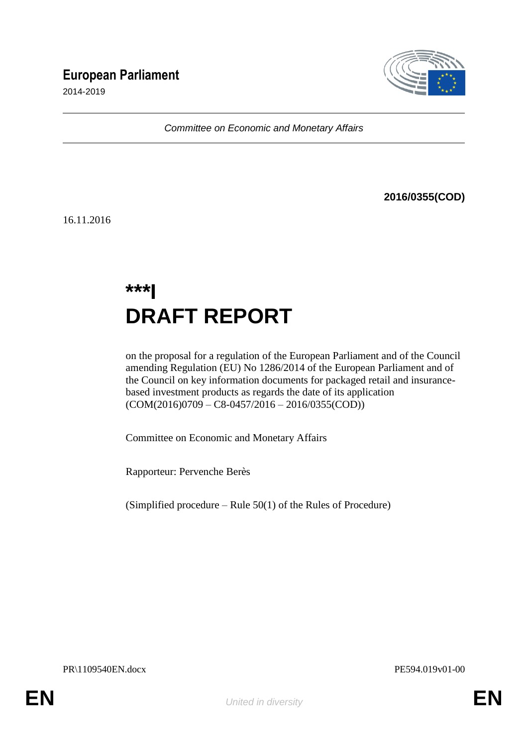# **European Parliament**

2014-2019



*Committee on Economic and Monetary Affairs*

# **2016/0355(COD)**

16.11.2016

# **\*\*\*I DRAFT REPORT**

on the proposal for a regulation of the European Parliament and of the Council amending Regulation (EU) No 1286/2014 of the European Parliament and of the Council on key information documents for packaged retail and insurancebased investment products as regards the date of its application  $(COM(2016)0709 - C8-0457/2016 - 2016/0355(COD))$ 

Committee on Economic and Monetary Affairs

Rapporteur: Pervenche Berès

(Simplified procedure – Rule 50(1) of the Rules of Procedure)

PR\1109540EN.docx PE594.019v01-00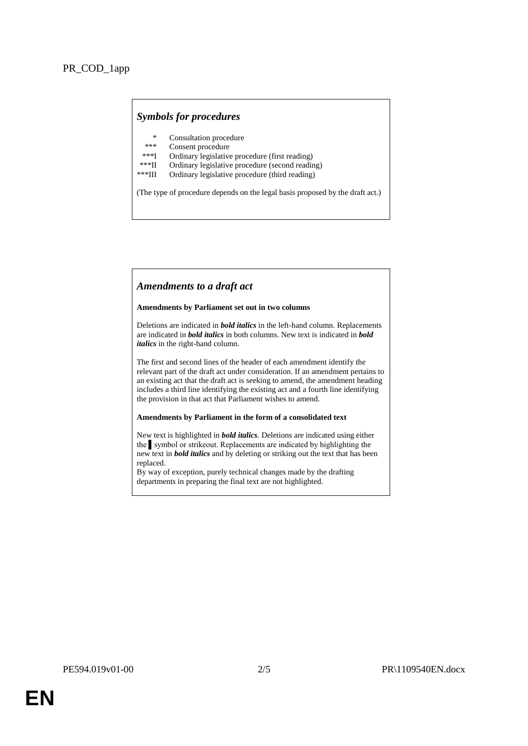## *Symbols for procedures*

- Consultation procedure
- \*\*\* Consent procedure
- \*\*\*I Ordinary legislative procedure (first reading)
- \*\*\*II Ordinary legislative procedure (second reading)
- Ordinary legislative procedure (third reading)

(The type of procedure depends on the legal basis proposed by the draft act.)

### *Amendments to a draft act*

#### **Amendments by Parliament set out in two columns**

Deletions are indicated in *bold italics* in the left-hand column. Replacements are indicated in *bold italics* in both columns. New text is indicated in *bold italics* in the right-hand column.

The first and second lines of the header of each amendment identify the relevant part of the draft act under consideration. If an amendment pertains to an existing act that the draft act is seeking to amend, the amendment heading includes a third line identifying the existing act and a fourth line identifying the provision in that act that Parliament wishes to amend.

#### **Amendments by Parliament in the form of a consolidated text**

New text is highlighted in *bold italics*. Deletions are indicated using either the ▌symbol or strikeout. Replacements are indicated by highlighting the new text in *bold italics* and by deleting or striking out the text that has been replaced.

By way of exception, purely technical changes made by the drafting departments in preparing the final text are not highlighted.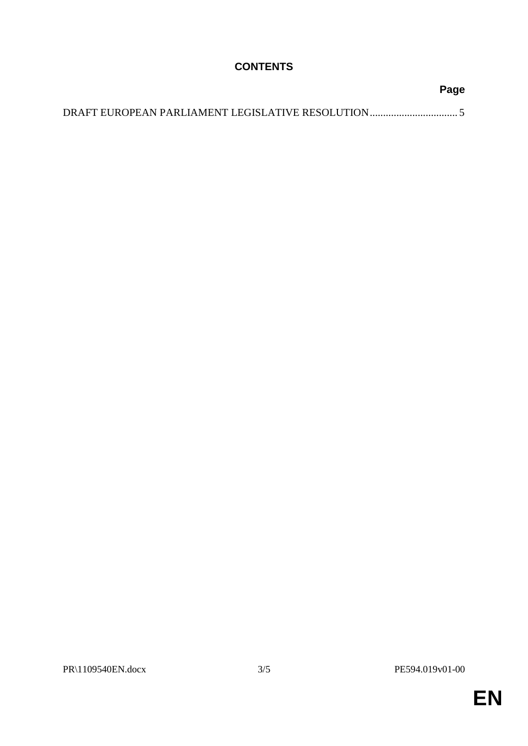# **CONTENTS**

| Page |
|------|
|      |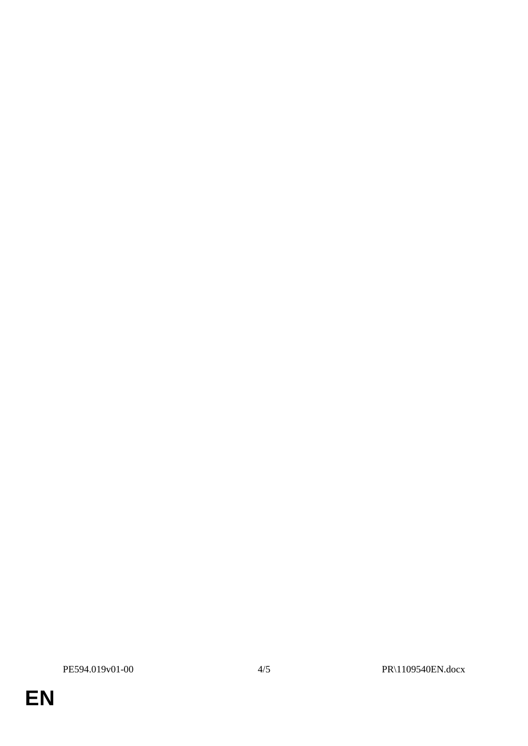PE594.019v01-00